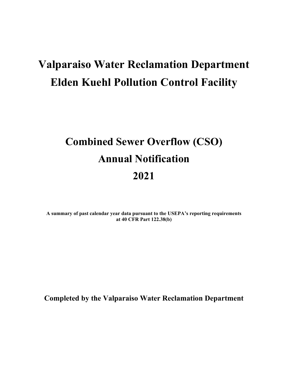# **Valparaiso Water Reclamation Department Elden Kuehl Pollution Control Facility**

# **Combined Sewer Overflow (CSO) Annual Notification 2021**

**A summary of past calendar year data pursuant to the USEPA's reporting requirements at 40 CFR Part 122.38(b)** 

**Completed by the Valparaiso Water Reclamation Department**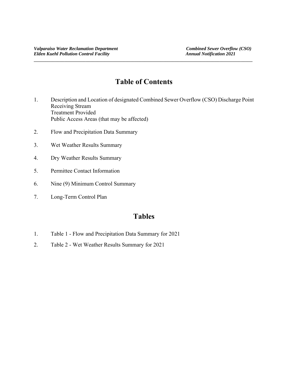# **Table of Contents**

**\_\_\_\_\_\_\_\_\_\_\_\_\_\_\_\_\_\_\_\_\_\_\_\_\_\_\_\_\_\_\_\_\_\_\_\_\_\_\_\_\_\_\_\_\_\_\_\_\_\_\_\_\_\_\_\_\_\_\_\_\_\_\_\_\_\_\_\_\_\_\_\_\_\_\_\_\_\_\_\_\_\_\_\_\_\_\_\_\_\_\_\_\_** 

- 1. Description and Location of designated Combined Sewer Overflow (CSO) Discharge Point Receiving Stream Treatment Provided Public Access Areas (that may be affected)
- 2. Flow and Precipitation Data Summary
- 3. Wet Weather Results Summary
- 4. Dry Weather Results Summary
- 5. Permittee Contact Information
- 6. Nine (9) Minimum Control Summary
- 7. Long-Term Control Plan

# **Tables**

- 1. Table 1 Flow and Precipitation Data Summary for 2021
- 2. Table 2 Wet Weather Results Summary for 2021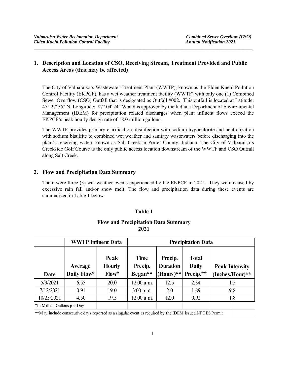## **1. Description and Location of CSO, Receiving Stream, Treatment Provided and Public Access Areas (that may be affected)**

**\_\_\_\_\_\_\_\_\_\_\_\_\_\_\_\_\_\_\_\_\_\_\_\_\_\_\_\_\_\_\_\_\_\_\_\_\_\_\_\_\_\_\_\_\_\_\_\_\_\_\_\_\_\_\_\_\_\_\_\_\_\_\_\_\_\_\_\_\_\_\_\_\_\_\_\_\_\_\_\_\_\_\_\_\_\_\_\_\_\_\_\_\_** 

The City of Valparaiso's Wastewater Treatment Plant (WWTP), known as the Elden Kuehl Pollution Control Facility (EKPCF), has a wet weather treatment facility (WWTF) with only one (1) Combined Sewer Overflow (CSO) Outfall that is designated as Outfall #002. This outfall is located at Latitude: 47° 27' 55" N, Longitude: 87° 04' 24" W and is approved by the Indiana Department of Environmental Management (IDEM) for precipitation related discharges when plant influent flows exceed the EKPCF's peak hourly design rate of 18.0 million gallons.

The WWTF provides primary clarification, disinfection with sodium hypochlorite and neutralization with sodium bisulfite to combined wet weather and sanitary wastewaters before discharging into the plant's receiving waters known as Salt Creek in Porter County, Indiana. The City of Valparaiso's Creekside Golf Course is the only public access location downstream of the WWTF and CSO Outfall along Salt Creek.

### **2. Flow and Precipitation Data Summary**

There were three (3) wet weather events experienced by the EKPCF in 2021. They were caused by excessive rain fall and/or snow melt. The flow and precipitation data during these events are summarized in Table 1 below:

## **Table 1**

#### **Flow and Precipitation Data Summary 2021**

|                                                                                                         |      | <b>WWTP Influent Data</b>      | <b>Precipitation Data</b>         |                                                            |                                           |                                          |  |  |  |  |
|---------------------------------------------------------------------------------------------------------|------|--------------------------------|-----------------------------------|------------------------------------------------------------|-------------------------------------------|------------------------------------------|--|--|--|--|
| Average<br>Daily Flow*<br>Date                                                                          |      | Peak<br><b>Hourly</b><br>Flow* | <b>Time</b><br>Precip.<br>Began** | Precip.<br><b>Duration</b><br>$\text{Hours}$ <sup>**</sup> | <b>Total</b><br><b>Daily</b><br>Precip.** | <b>Peak Intensity</b><br>(Inches/Hour)** |  |  |  |  |
| 5/9/2021                                                                                                | 6.55 | 20.0                           | $12:00$ a.m.                      | 12.5                                                       | 2.34                                      | 1.5                                      |  |  |  |  |
| 7/12/2021                                                                                               | 0.91 | 19.0                           | $3:00$ p.m.                       | 2.0                                                        | 1.89                                      | 9.8                                      |  |  |  |  |
| 10/25/2021                                                                                              | 4.50 | 19.5                           | $12:00$ a.m.                      | 12.0                                                       | 0.92                                      | 1.8                                      |  |  |  |  |
| *In Million Gallons per Day                                                                             |      |                                |                                   |                                                            |                                           |                                          |  |  |  |  |
| **May include consecutive days reported as a singular event as required by the IDEM issued NPDES Permit |      |                                |                                   |                                                            |                                           |                                          |  |  |  |  |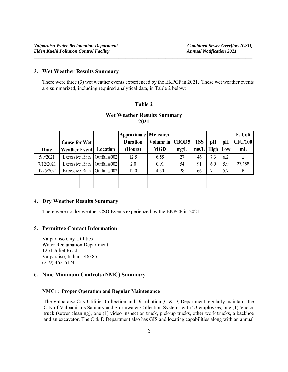#### **3. Wet Weather Results Summary**

There were three (3) wet weather events experienced by the EKPCF in 2021. These wet weather events are summarized, including required analytical data, in Table 2 below:

#### **Table 2**

### **Wet Weather Results Summary 2021**

|            |                       |                               | Approximate   Measured |                   |      |            |     |          | E. Coli        |
|------------|-----------------------|-------------------------------|------------------------|-------------------|------|------------|-----|----------|----------------|
|            | <b>Cause for Wet</b>  |                               | <b>Duration</b>        | Volume in   CBOD5 |      | <b>TSS</b> | pH  | pH       | <b>CFU/100</b> |
| Date       | <b>Weather Event</b>  | Location                      | (Hours)                | <b>MGD</b>        | mg/L | mg/L       |     | High Low | mL             |
| 5/9/2021   | <b>Excessive Rain</b> | Outfall #002                  | 12.5                   | 6.55              | 27   | 46         | 7.3 | 6.2      |                |
| 7/12/2021  |                       | Excessive Rain   Outfall #002 | 2.0                    | 0.91              | 54   | 91         | 6.9 | 5.9      | 27,158         |
| 10/25/2021 | Excessive Rain        | Outfall #002                  | 12.0                   | 4.50              | 28   | 66         | 7.1 | 5.7      | 6              |
|            |                       |                               |                        |                   |      |            |     |          |                |
|            |                       |                               |                        |                   |      |            |     |          |                |

#### **4. Dry Weather Results Summary**

There were no dry weather CSO Events experienced by the EKPCF in 2021.

#### **5. Permittee Contact Information**

Valparaiso City Utilities Water Reclamation Department 1251 Joliet Road Valparaiso, Indiana 46385 (219) 462-6174

#### **6. Nine Minimum Controls (NMC) Summary**

#### **NMC1: Proper Operation and Regular Maintenance**

The Valparaiso City Utilities Collection and Distribution  $(C & D)$  Department regularly maintains the City of Valparaiso's Sanitary and Stormwater Collection Systems with 23 employees, one (1) Vactor truck (sewer cleaning), one (1) video inspection truck, pick-up trucks, other work trucks, a backhoe and an excavator. The C & D Department also has GIS and locating capabilities along with an annual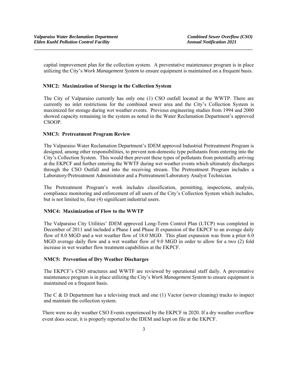capital improvement plan for the collection system. A preventative maintenance program is in place utilizing the City's *Work Management System* to ensure equipment is maintained on a frequent basis.

**\_\_\_\_\_\_\_\_\_\_\_\_\_\_\_\_\_\_\_\_\_\_\_\_\_\_\_\_\_\_\_\_\_\_\_\_\_\_\_\_\_\_\_\_\_\_\_\_\_\_\_\_\_\_\_\_\_\_\_\_\_\_\_\_\_\_\_\_\_\_\_\_\_\_\_\_\_\_\_\_\_\_\_\_\_\_\_\_\_\_\_\_\_** 

#### **NMC2: Maximization of Storage in the Collection System**

The City of Valparaiso currently has only one (1) CSO outfall located at the WWTP. There are currently no inlet restrictions for the combined sewer area and the City's Collection System is maximized for storage during wet weather events. Previous engineering studies from 1994 and 2000 showed capacity remaining in the system as noted in the Water Reclamation Department's approved CSOOP.

#### **NMC3: Pretreatment Program Review**

The Valparaiso Water Reclamation Department's IDEM approved Industrial Pretreatment Program is designed, among other responsibilities, to prevent non-domestic type pollutants from entering into the City's Collection System. This would then prevent these types of pollutants from potentially arriving at the EKPCF and further entering the WWTF during wet weather events which ultimately discharges through the CSO Outfall and into the receiving stream. The Pretreatment Program includes a Laboratory/Pretreatment Administrator and a Pretreatment/Laboratory Analyst Technician.

The Pretreatment Program's work includes classification, permitting, inspections, analysis, compliance monitoring and enforcement of all users of the City's Collection System which includes, but is not limited to, four (4) significant industrial users.

#### **NMC4: Maximization of Flow to the WWTP**

The Valparaiso City Utilities' IDEM approved Long-Term Control Plan (LTCP) was completed in December of 2011 and included a Phase I and Phase II expansion of the EKPCF to an average daily flow of 8.0 MGD and a wet weather flow of 18.0 MGD. This plant expansion was from a prior 6.0 MGD average daily flow and a wet weather flow of 9.0 MGD in order to allow for a two (2) fold increase in wet weather flow treatment capabilities at the EKPCF.

#### **NMC5: Prevention of Dry Weather Discharges**

The EKPCF's CSO structures and WWTF are reviewed by operational staff daily. A preventative maintenance program is in place utilizing the City's *Work Management System* to ensure equipment is maintained on a frequent basis.

The C & D Department has a televising truck and one (1) Vactor (sewer cleaning) trucks to inspect and maintain the collection system.

There were no dry weather CSO Events experienced by the EKPCF in 2020. If a dry weather overflow event does occur, it is properly reported to the IDEM and kept on file at the EKPCF.